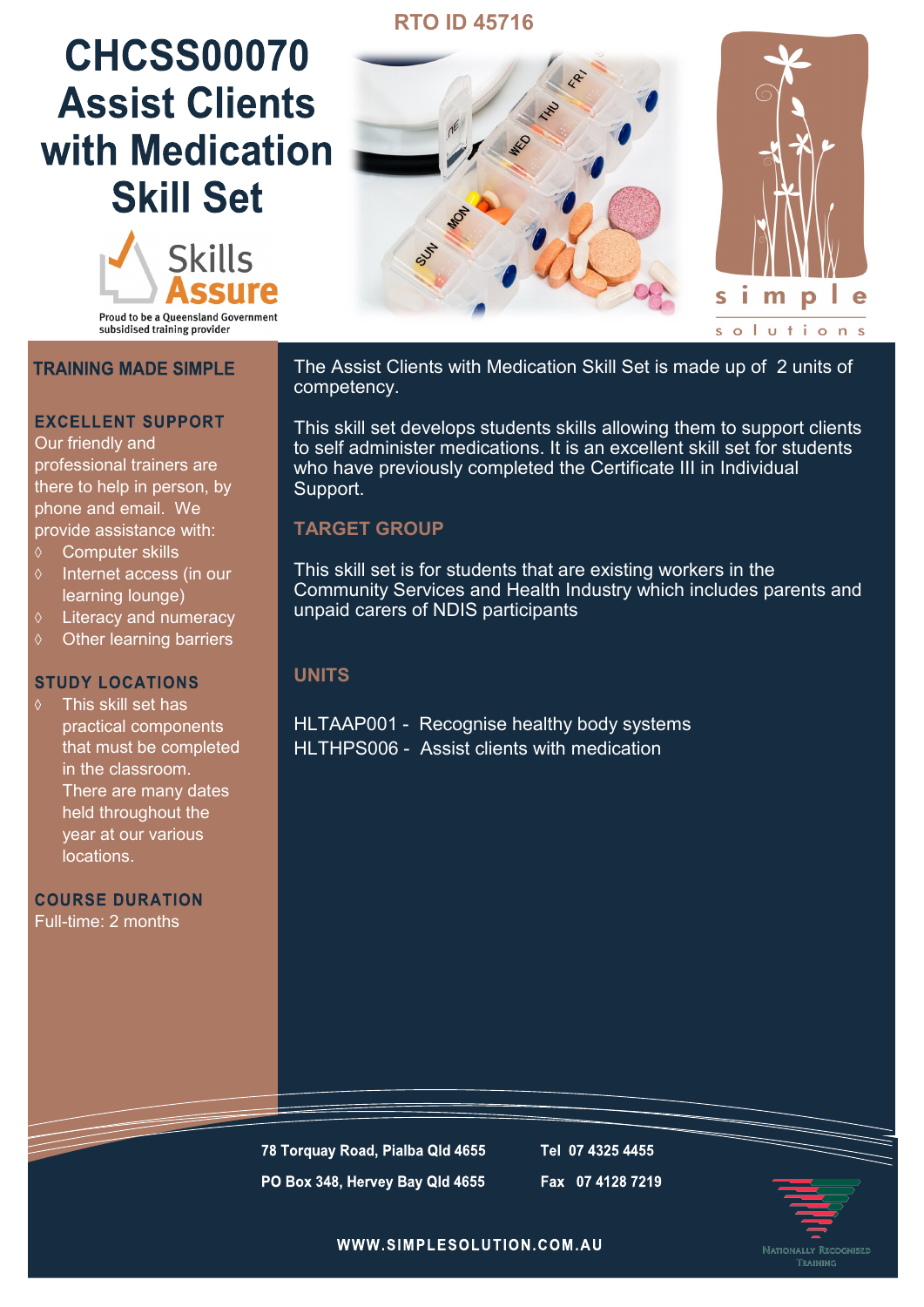## **RTO ID 45716**

# **CHCSS00070 Assist Clients** with Medication **Skill Set**



**Proud to be a Queensland Government** subsidised training provider

### **TRAINING MADE SIMPLE**

### **EXCELLENT SUPPORT**

Our friendly and professional trainers are there to help in person, by phone and email. We provide assistance with:

- Computer skills
- Internet access (in our learning lounge)
- $\Diamond$  Literacy and numeracy
- $\diamond$  Other learning barriers

#### **STUDY LOCATIONS**

This skill set has practical components that must be completed in the classroom. There are many dates held throughout the year at our various locations.

**COURSE DURATION** Full-time: 2 months



The Assist Clients with Medication Skill Set is made up of 2 units of competency.

This skill set develops students skills allowing them to support clients to self administer medications. It is an excellent skill set for students who have previously completed the Certificate III in Individual Support.

## **TARGET GROUP**

This skill set is for students that are existing workers in the Community Services and Health Industry which includes parents and unpaid carers of NDIS participants

## **UNITS**

HLTAAP001 - Recognise healthy body systems HLTHPS006 - Assist clients with medication

78 Torquay Road, Pialba Qld 4655 PO Box 348, Hervey Bay Qld 4655 Tel 07 4325 4455 Fax 07 4128 7219



WWW.SIMPLESOLUTION.COM.AU